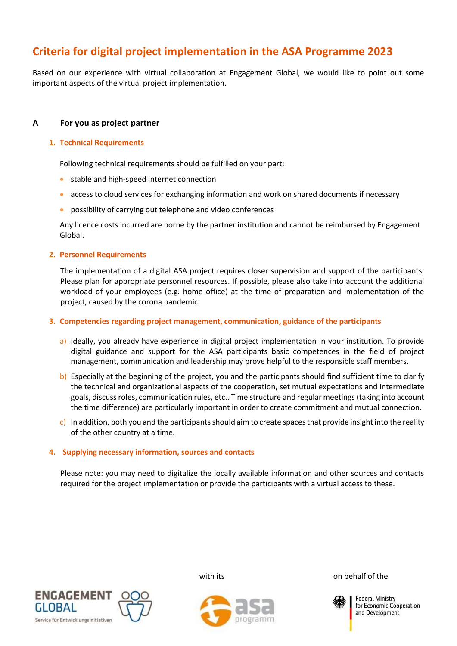# **Criteria for digital project implementation in the ASA Programme 2023**

Based on our experience with virtual collaboration at Engagement Global, we would like to point out some important aspects of the virtual project implementation.

# **A For you as project partner**

### **1. Technical Requirements**

Following technical requirements should be fulfilled on your part:

- stable and high-speed internet connection
- access to cloud services for exchanging information and work on shared documents if necessary
- possibility of carrying out telephone and video conferences

Any licence costs incurred are borne by the partner institution and cannot be reimbursed by Engagement Global.

# **2. Personnel Requirements**

The implementation of a digital ASA project requires closer supervision and support of the participants. Please plan for appropriate personnel resources. If possible, please also take into account the additional workload of your employees (e.g. home office) at the time of preparation and implementation of the project, caused by the corona pandemic.

### **3. Competencies regarding project management, communication, guidance of the participants**

- a) Ideally, you already have experience in digital project implementation in your institution. To provide digital guidance and support for the ASA participants basic competences in the field of project management, communication and leadership may prove helpful to the responsible staff members.
- b) Especially at the beginning of the project, you and the participants should find sufficient time to clarify the technical and organizational aspects of the cooperation, set mutual expectations and intermediate goals, discuss roles, communication rules, etc.. Time structure and regular meetings (taking into account the time difference) are particularly important in order to create commitment and mutual connection.
- c) In addition, both you and the participants should aim to create spaces that provide insight into the reality of the other country at a time.

#### **4. Supplying necessary information, sources and contacts**

Please note: you may need to digitalize the locally available information and other sources and contacts required for the project implementation or provide the participants with a virtual access to these.





with its on behalf of the



**Federal Ministry** for Economic Cooperation and Development